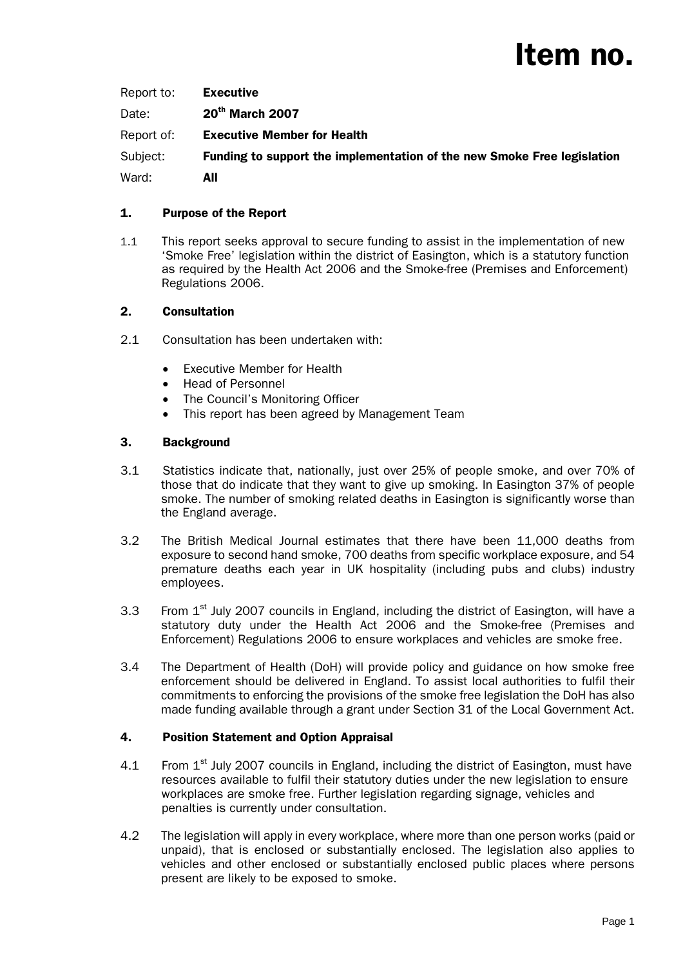# Item no.

| Report to: | Executive                                                               |
|------------|-------------------------------------------------------------------------|
| Date:      | 20 <sup>th</sup> March 2007                                             |
| Report of: | <b>Executive Member for Health</b>                                      |
| Subject:   | Funding to support the implementation of the new Smoke Free legislation |
| Ward:      | AII                                                                     |

# 1. Purpose of the Report

1.1 This report seeks approval to secure funding to assist in the implementation of new 'Smoke Free' legislation within the district of Easington, which is a statutory function as required by the Health Act 2006 and the Smoke-free (Premises and Enforcement) Regulations 2006.

# 2. Consultation

- 2.1 Consultation has been undertaken with:
	- Executive Member for Health
	- Head of Personnel
	- The Council's Monitoring Officer
	- This report has been agreed by Management Team

# 3. Background

- 3.1 Statistics indicate that, nationally, just over 25% of people smoke, and over 70% of those that do indicate that they want to give up smoking. In Easington 37% of people smoke. The number of smoking related deaths in Easington is significantly worse than the England average.
- 3.2 The British Medical Journal estimates that there have been 11,000 deaths from exposure to second hand smoke, 700 deaths from specific workplace exposure, and 54 premature deaths each year in UK hospitality (including pubs and clubs) industry employees.
- 3.3 From  $1<sup>st</sup>$  July 2007 councils in England, including the district of Easington, will have a statutory duty under the Health Act 2006 and the Smoke-free (Premises and Enforcement) Regulations 2006 to ensure workplaces and vehicles are smoke free.
- 3.4 The Department of Health (DoH) will provide policy and guidance on how smoke free enforcement should be delivered in England. To assist local authorities to fulfil their commitments to enforcing the provisions of the smoke free legislation the DoH has also made funding available through a grant under Section 31 of the Local Government Act.

# 4. Position Statement and Option Appraisal

- 4.1 From  $1<sup>st</sup>$  July 2007 councils in England, including the district of Easington, must have resources available to fulfil their statutory duties under the new legislation to ensure workplaces are smoke free. Further legislation regarding signage, vehicles and penalties is currently under consultation.
- 4.2 The legislation will apply in every workplace, where more than one person works (paid or unpaid), that is enclosed or substantially enclosed. The legislation also applies to vehicles and other enclosed or substantially enclosed public places where persons present are likely to be exposed to smoke.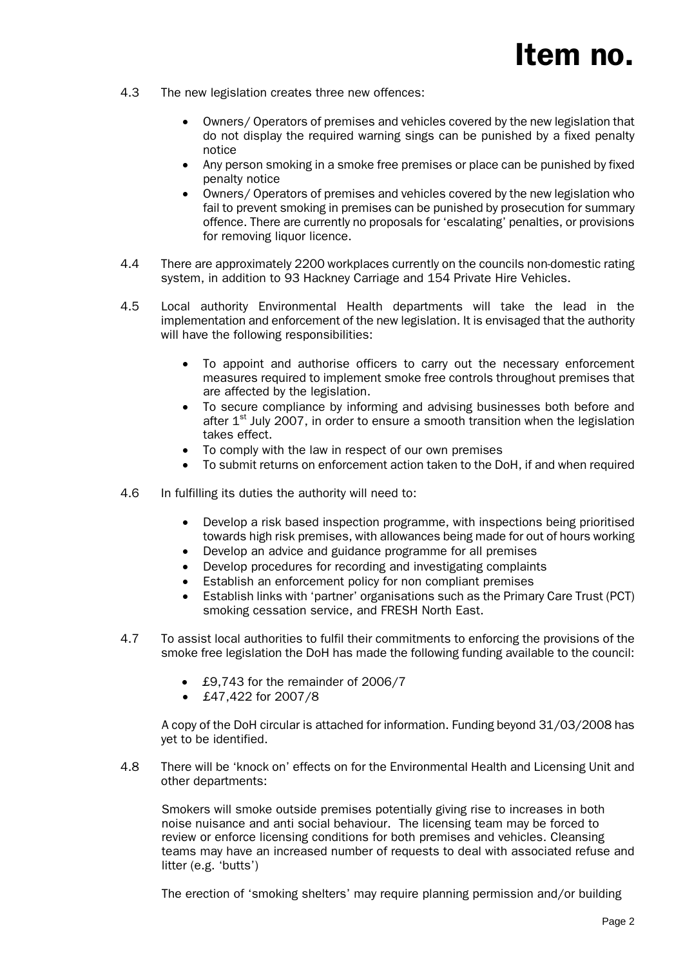- 4.3 The new legislation creates three new offences:
	- Owners/ Operators of premises and vehicles covered by the new legislation that do not display the required warning sings can be punished by a fixed penalty notice
	- Any person smoking in a smoke free premises or place can be punished by fixed penalty notice
	- Owners/ Operators of premises and vehicles covered by the new legislation who fail to prevent smoking in premises can be punished by prosecution for summary offence. There are currently no proposals for 'escalating' penalties, or provisions for removing liquor licence.
- 4.4 There are approximately 2200 workplaces currently on the councils non-domestic rating system, in addition to 93 Hackney Carriage and 154 Private Hire Vehicles.
- 4.5 Local authority Environmental Health departments will take the lead in the implementation and enforcement of the new legislation. It is envisaged that the authority will have the following responsibilities:
	- To appoint and authorise officers to carry out the necessary enforcement measures required to implement smoke free controls throughout premises that are affected by the legislation.
	- To secure compliance by informing and advising businesses both before and after  $1<sup>st</sup>$  July 2007, in order to ensure a smooth transition when the legislation takes effect.
	- To comply with the law in respect of our own premises
	- To submit returns on enforcement action taken to the DoH, if and when required
- 4.6 In fulfilling its duties the authority will need to:
	- Develop a risk based inspection programme, with inspections being prioritised towards high risk premises, with allowances being made for out of hours working
	- Develop an advice and guidance programme for all premises
	- Develop procedures for recording and investigating complaints
	- Establish an enforcement policy for non compliant premises
	- Establish links with 'partner' organisations such as the Primary Care Trust (PCT) smoking cessation service, and FRESH North East.
- 4.7 To assist local authorities to fulfil their commitments to enforcing the provisions of the smoke free legislation the DoH has made the following funding available to the council:
	- £9,743 for the remainder of 2006/7
	- £47,422 for 2007/8

A copy of the DoH circular is attached for information. Funding beyond 31/03/2008 has yet to be identified.

4.8 There will be 'knock on' effects on for the Environmental Health and Licensing Unit and other departments:

Smokers will smoke outside premises potentially giving rise to increases in both noise nuisance and anti social behaviour. The licensing team may be forced to review or enforce licensing conditions for both premises and vehicles. Cleansing teams may have an increased number of requests to deal with associated refuse and litter (e.g. 'butts')

The erection of 'smoking shelters' may require planning permission and/or building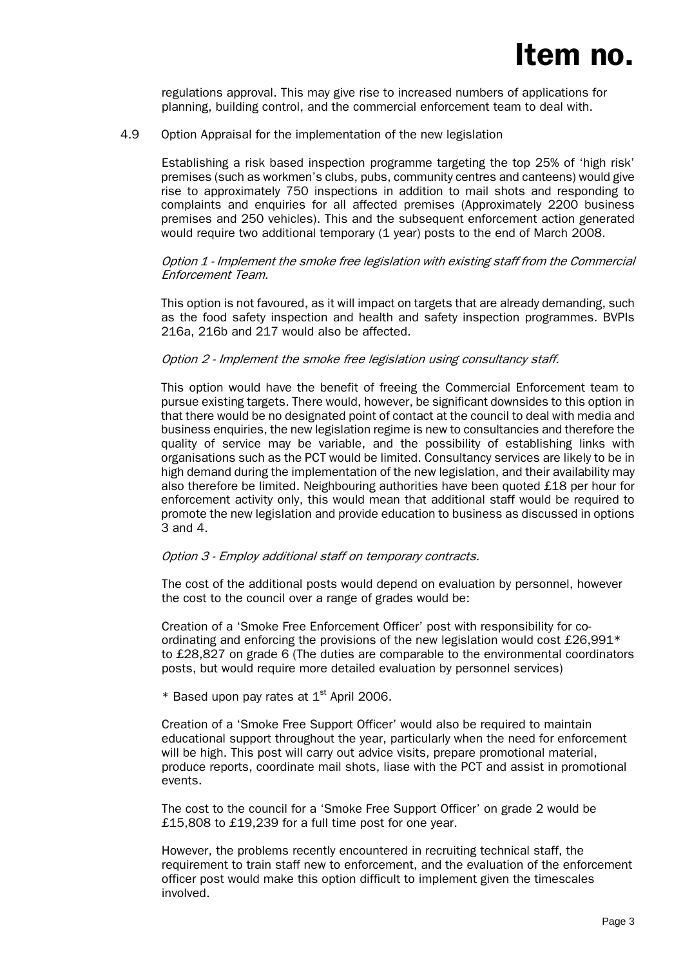regulations approval. This may give rise to increased numbers of applications for planning, building control, and the commercial enforcement team to deal with.

#### 4.9 Option Appraisal for the implementation of the new legislation

Establishing a risk based inspection programme targeting the top 25% of 'high risk' premises (such as workmen's clubs, pubs, community centres and canteens) would give rise to approximately 750 inspections in addition to mail shots and responding to complaints and enquiries for all affected premises (Approximately 2200 business premises and 250 vehicles). This and the subsequent enforcement action generated would require two additional temporary (1 year) posts to the end of March 2008.

#### Option 1 - Implement the smoke free legislation with existing staff from the Commercial Enforcement Team.

This option is not favoured, as it will impact on targets that are already demanding, such as the food safety inspection and health and safety inspection programmes. BVPIs 216a, 216b and 217 would also be affected.

#### Option 2 - Implement the smoke free legislation using consultancy staff.

This option would have the benefit of freeing the Commercial Enforcement team to pursue existing targets. There would, however, be significant downsides to this option in that there would be no designated point of contact at the council to deal with media and business enquiries, the new legislation regime is new to consultancies and therefore the quality of service may be variable, and the possibility of establishing links with organisations such as the PCT would be limited. Consultancy services are likely to be in high demand during the implementation of the new legislation, and their availability may also therefore be limited. Neighbouring authorities have been quoted £18 per hour for enforcement activity only, this would mean that additional staff would be required to promote the new legislation and provide education to business as discussed in options 3 and 4.

#### Option 3 - Employ additional staff on temporary contracts.

The cost of the additional posts would depend on evaluation by personnel, however the cost to the council over a range of grades would be:

Creation of a 'Smoke Free Enforcement Officer' post with responsibility for coordinating and enforcing the provisions of the new legislation would cost  $\text{\pounds}26.991*$ to £28,827 on grade 6 (The duties are comparable to the environmental coordinators posts, but would require more detailed evaluation by personnel services)

\* Based upon pay rates at  $1<sup>st</sup>$  April 2006.

Creation of a 'Smoke Free Support Officer' would also be required to maintain educational support throughout the year, particularly when the need for enforcement will be high. This post will carry out advice visits, prepare promotional material, produce reports, coordinate mail shots, liase with the PCT and assist in promotional events.

The cost to the council for a 'Smoke Free Support Officer' on grade 2 would be £15,808 to £19,239 for a full time post for one year.

However, the problems recently encountered in recruiting technical staff, the requirement to train staff new to enforcement, and the evaluation of the enforcement officer post would make this option difficult to implement given the timescales involved.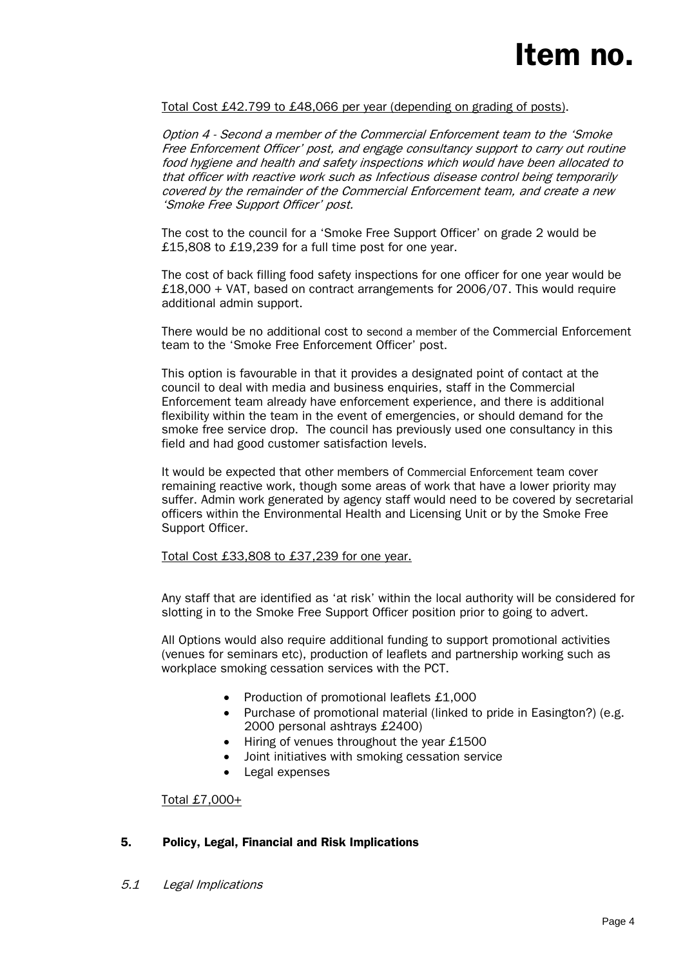## Total Cost £42.799 to £48,066 per year (depending on grading of posts).

Option 4 - Second a member of the Commercial Enforcement team to the 'Smoke Free Enforcement Officer' post, and engage consultancy support to carry out routine food hygiene and health and safety inspections which would have been allocated to that officer with reactive work such as Infectious disease control being temporarily covered by the remainder of the Commercial Enforcement team, and create a new 'Smoke Free Support Officer' post.

The cost to the council for a 'Smoke Free Support Officer' on grade 2 would be £15,808 to £19,239 for a full time post for one year.

The cost of back filling food safety inspections for one officer for one year would be £18,000 + VAT, based on contract arrangements for 2006/07. This would require additional admin support.

There would be no additional cost to second a member of the Commercial Enforcement team to the 'Smoke Free Enforcement Officer' post.

This option is favourable in that it provides a designated point of contact at the council to deal with media and business enquiries, staff in the Commercial Enforcement team already have enforcement experience, and there is additional flexibility within the team in the event of emergencies, or should demand for the smoke free service drop. The council has previously used one consultancy in this field and had good customer satisfaction levels.

It would be expected that other members of Commercial Enforcement team cover remaining reactive work, though some areas of work that have a lower priority may suffer. Admin work generated by agency staff would need to be covered by secretarial officers within the Environmental Health and Licensing Unit or by the Smoke Free Support Officer.

Total Cost £33,808 to £37,239 for one year.

Any staff that are identified as 'at risk' within the local authority will be considered for slotting in to the Smoke Free Support Officer position prior to going to advert.

All Options would also require additional funding to support promotional activities (venues for seminars etc), production of leaflets and partnership working such as workplace smoking cessation services with the PCT.

- Production of promotional leaflets £1,000
- Purchase of promotional material (linked to pride in Easington?) (e.g. 2000 personal ashtrays £2400)
- Hiring of venues throughout the year £1500
- Joint initiatives with smoking cessation service
- Legal expenses

Total £7,000+

## 5. Policy, Legal, Financial and Risk Implications

5.1 Legal Implications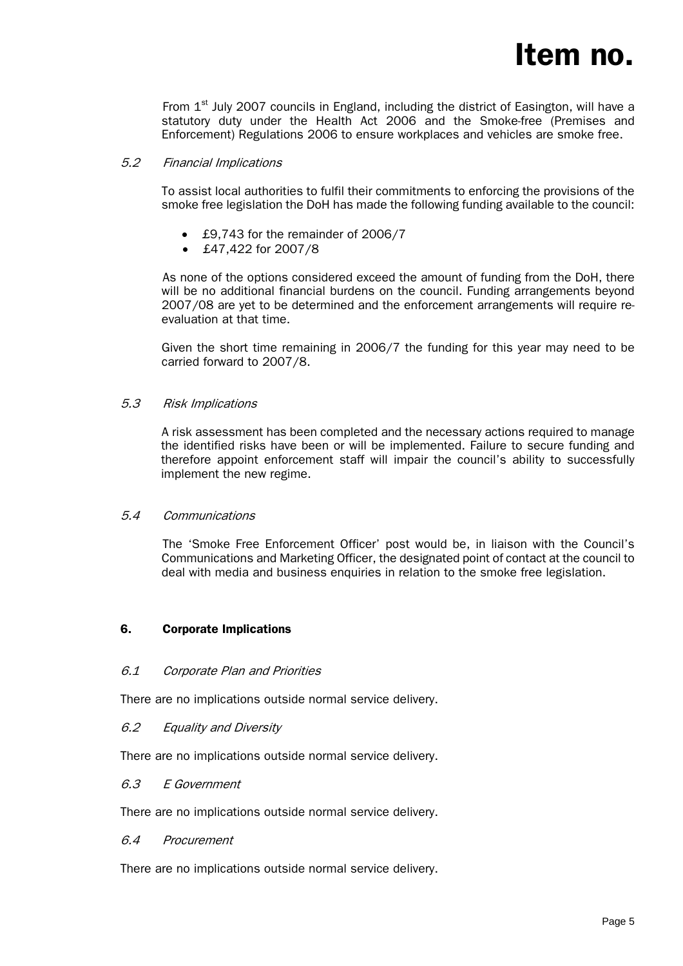From  $1<sup>st</sup>$  July 2007 councils in England, including the district of Easington, will have a statutory duty under the Health Act 2006 and the Smoke-free (Premises and Enforcement) Regulations 2006 to ensure workplaces and vehicles are smoke free.

# 5.2 Financial Implications

To assist local authorities to fulfil their commitments to enforcing the provisions of the smoke free legislation the DoH has made the following funding available to the council:

- £9,743 for the remainder of 2006/7
- £47,422 for 2007/8

 As none of the options considered exceed the amount of funding from the DoH, there will be no additional financial burdens on the council. Funding arrangements beyond 2007/08 are yet to be determined and the enforcement arrangements will require reevaluation at that time.

Given the short time remaining in 2006/7 the funding for this year may need to be carried forward to 2007/8.

## 5.3 Risk Implications

A risk assessment has been completed and the necessary actions required to manage the identified risks have been or will be implemented. Failure to secure funding and therefore appoint enforcement staff will impair the council's ability to successfully implement the new regime.

## 5.4 Communications

The 'Smoke Free Enforcement Officer' post would be, in liaison with the Council's Communications and Marketing Officer, the designated point of contact at the council to deal with media and business enquiries in relation to the smoke free legislation.

## 6. Corporate Implications

## 6.1 Corporate Plan and Priorities

There are no implications outside normal service delivery.

## 6.2 Equality and Diversity

There are no implications outside normal service delivery.

## 6.3 E Government

There are no implications outside normal service delivery.

## 6.4 Procurement

There are no implications outside normal service delivery.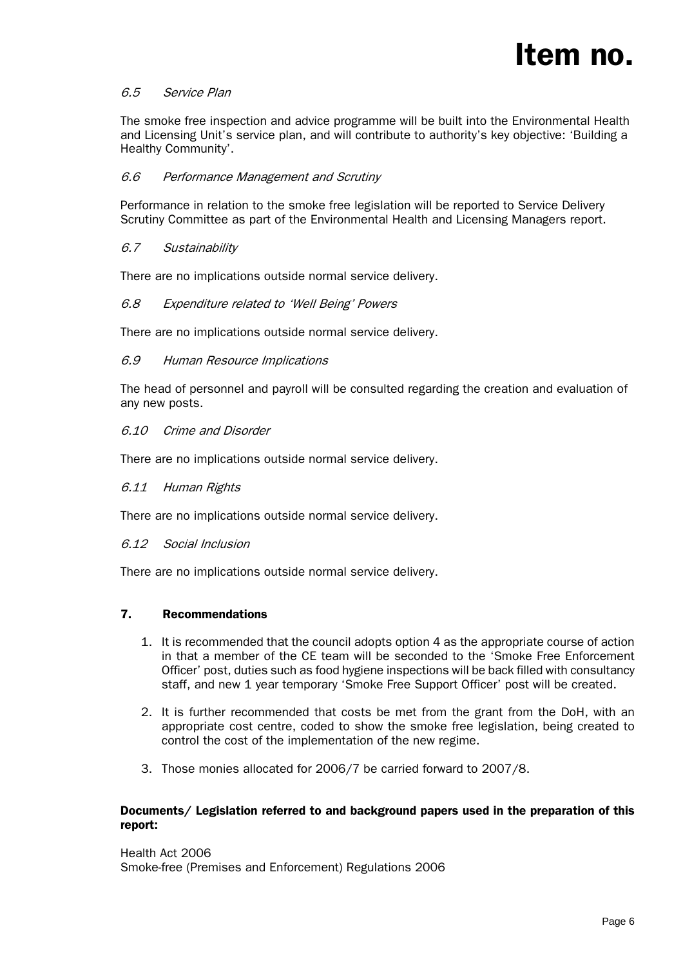# 6.5 Service Plan

The smoke free inspection and advice programme will be built into the Environmental Health and Licensing Unit's service plan, and will contribute to authority's key objective: 'Building a Healthy Community'.

## 6.6 Performance Management and Scrutiny

Performance in relation to the smoke free legislation will be reported to Service Delivery Scrutiny Committee as part of the Environmental Health and Licensing Managers report.

## 6.7 Sustainability

There are no implications outside normal service delivery.

#### 6.8 Expenditure related to 'Well Being' Powers

There are no implications outside normal service delivery.

#### 6.9 Human Resource Implications

 The head of personnel and payroll will be consulted regarding the creation and evaluation of any new posts.

#### 6.10 Crime and Disorder

There are no implications outside normal service delivery.

#### 6.11 Human Rights

There are no implications outside normal service delivery.

#### 6.12 Social Inclusion

There are no implications outside normal service delivery.

## 7. Recommendations

- 1. It is recommended that the council adopts option 4 as the appropriate course of action in that a member of the CE team will be seconded to the 'Smoke Free Enforcement Officer' post, duties such as food hygiene inspections will be back filled with consultancy staff, and new 1 year temporary 'Smoke Free Support Officer' post will be created.
- 2. It is further recommended that costs be met from the grant from the DoH, with an appropriate cost centre, coded to show the smoke free legislation, being created to control the cost of the implementation of the new regime.
- 3. Those monies allocated for 2006/7 be carried forward to 2007/8.

#### Documents/ Legislation referred to and background papers used in the preparation of this report:

Health Act 2006 Smoke-free (Premises and Enforcement) Regulations 2006